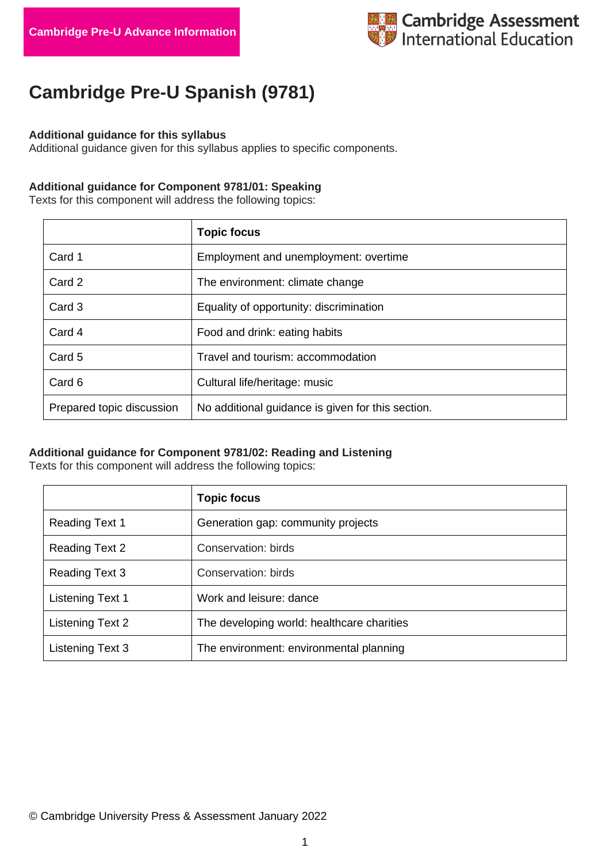

# **Cambridge Pre-U Spanish (9781)**

#### **Additional guidance for this syllabus**

Additional guidance given for this syllabus applies to specific components.

### **Additional guidance for Component 9781/01: Speaking**

Texts for this component will address the following topics:

|                           | <b>Topic focus</b>                                |
|---------------------------|---------------------------------------------------|
| Card 1                    | Employment and unemployment: overtime             |
| Card 2                    | The environment: climate change                   |
| Card 3                    | Equality of opportunity: discrimination           |
| Card 4                    | Food and drink: eating habits                     |
| Card 5                    | Travel and tourism: accommodation                 |
| Card 6                    | Cultural life/heritage: music                     |
| Prepared topic discussion | No additional guidance is given for this section. |

## **Additional guidance for Component 9781/02: Reading and Listening**

Texts for this component will address the following topics:

|                         | <b>Topic focus</b>                         |
|-------------------------|--------------------------------------------|
| <b>Reading Text 1</b>   | Generation gap: community projects         |
| <b>Reading Text 2</b>   | Conservation: birds                        |
| Reading Text 3          | Conservation: birds                        |
| <b>Listening Text 1</b> | Work and leisure: dance                    |
| Listening Text 2        | The developing world: healthcare charities |
| Listening Text 3        | The environment: environmental planning    |